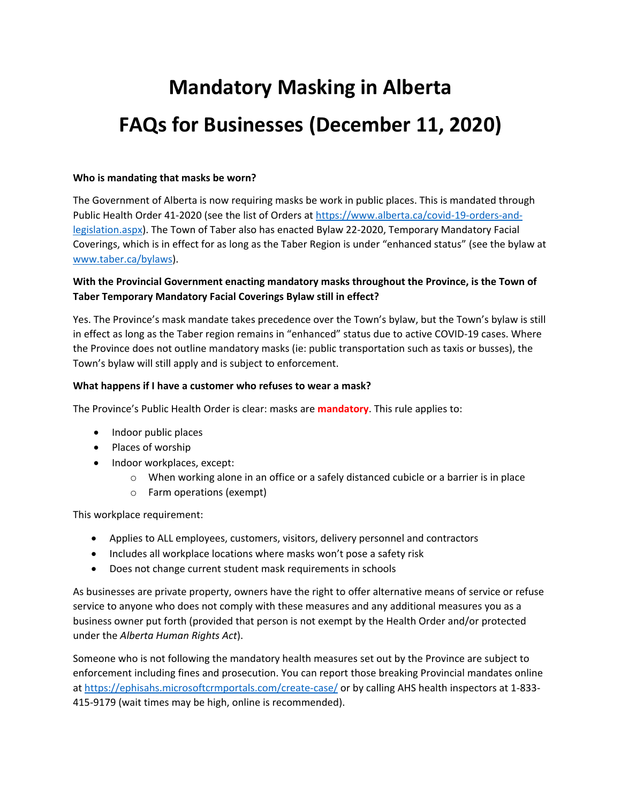# **Mandatory Masking in Alberta FAQs for Businesses (December 11, 2020)**

### **Who is mandating that masks be worn?**

The Government of Alberta is now requiring masks be work in public places. This is mandated through Public Health Order 41-2020 (see the list of Orders at [https://www.alberta.ca/covid-19-orders-and](https://www.alberta.ca/covid-19-orders-and-legislation.aspx)[legislation.aspx\)](https://www.alberta.ca/covid-19-orders-and-legislation.aspx). The Town of Taber also has enacted Bylaw 22-2020, Temporary Mandatory Facial Coverings, which is in effect for as long as the Taber Region is under "enhanced status" (see the bylaw at [www.taber.ca/bylaws\)](http://www.taber.ca/bylaws).

## **With the Provincial Government enacting mandatory masks throughout the Province, is the Town of Taber Temporary Mandatory Facial Coverings Bylaw still in effect?**

Yes. The Province's mask mandate takes precedence over the Town's bylaw, but the Town's bylaw is still in effect as long as the Taber region remains in "enhanced" status due to active COVID-19 cases. Where the Province does not outline mandatory masks (ie: public transportation such as taxis or busses), the Town's bylaw will still apply and is subject to enforcement.

## **What happens if I have a customer who refuses to wear a mask?**

The Province's Public Health Order is clear: masks are **mandatory**. This rule applies to:

- Indoor public places
- Places of worship
- Indoor workplaces, except:
	- $\circ$  When working alone in an office or a safely distanced cubicle or a barrier is in place
	- o Farm operations (exempt)

This workplace requirement:

- Applies to ALL employees, customers, visitors, delivery personnel and contractors
- Includes all workplace locations where masks won't pose a safety risk
- Does not change current student mask requirements in schools

As businesses are private property, owners have the right to offer alternative means of service or refuse service to anyone who does not comply with these measures and any additional measures you as a business owner put forth (provided that person is not exempt by the Health Order and/or protected under the *Alberta Human Rights Act*).

Someone who is not following the mandatory health measures set out by the Province are subject to enforcement including fines and prosecution. You can report those breaking Provincial mandates online at <https://ephisahs.microsoftcrmportals.com/create-case/> or by calling AHS health inspectors at 1-833- 415-9179 (wait times may be high, online is recommended).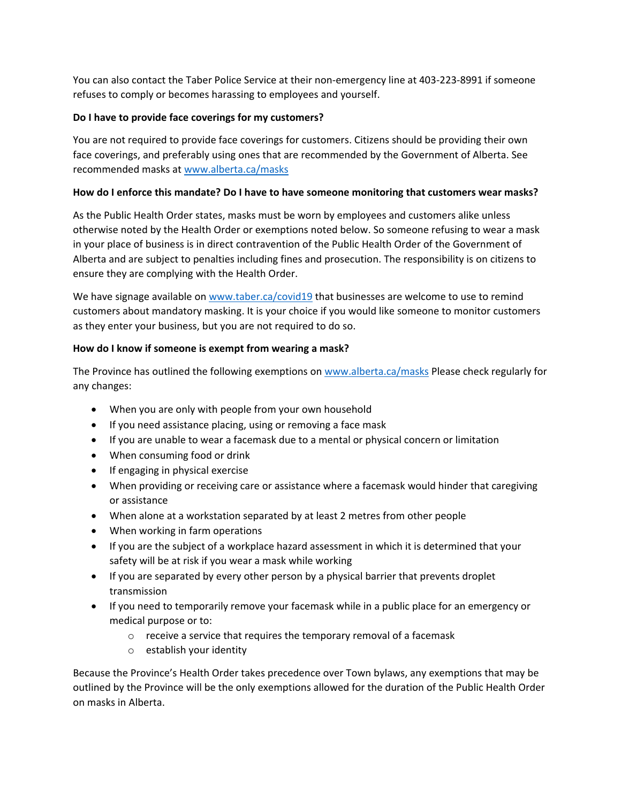You can also contact the Taber Police Service at their non-emergency line at 403-223-8991 if someone refuses to comply or becomes harassing to employees and yourself.

## **Do I have to provide face coverings for my customers?**

You are not required to provide face coverings for customers. Citizens should be providing their own face coverings, and preferably using ones that are recommended by the Government of Alberta. See recommended masks a[t www.alberta.ca/masks](http://www.alberta.ca/masks)

### **How do I enforce this mandate? Do I have to have someone monitoring that customers wear masks?**

As the Public Health Order states, masks must be worn by employees and customers alike unless otherwise noted by the Health Order or exemptions noted below. So someone refusing to wear a mask in your place of business is in direct contravention of the Public Health Order of the Government of Alberta and are subject to penalties including fines and prosecution. The responsibility is on citizens to ensure they are complying with the Health Order.

We have signage available on [www.taber.ca/covid19](http://www.taber.ca/covid19) that businesses are welcome to use to remind customers about mandatory masking. It is your choice if you would like someone to monitor customers as they enter your business, but you are not required to do so.

## **How do I know if someone is exempt from wearing a mask?**

The Province has outlined the following exemptions on [www.alberta.ca/masks](http://www.alberta.ca/masks) Please check regularly for any changes:

- When you are only with people from your own household
- If you need assistance placing, using or removing a face mask
- If you are unable to wear a facemask due to a mental or physical concern or limitation
- When consuming food or drink
- If engaging in physical exercise
- When providing or receiving care or assistance where a facemask would hinder that caregiving or assistance
- When alone at a workstation separated by at least 2 metres from other people
- When working in farm operations
- If you are the subject of a workplace hazard assessment in which it is determined that your safety will be at risk if you wear a mask while working
- If you are separated by every other person by a physical barrier that prevents droplet transmission
- If you need to temporarily remove your facemask while in a public place for an emergency or medical purpose or to:
	- $\circ$  receive a service that requires the temporary removal of a facemask
	- o establish your identity

Because the Province's Health Order takes precedence over Town bylaws, any exemptions that may be outlined by the Province will be the only exemptions allowed for the duration of the Public Health Order on masks in Alberta.